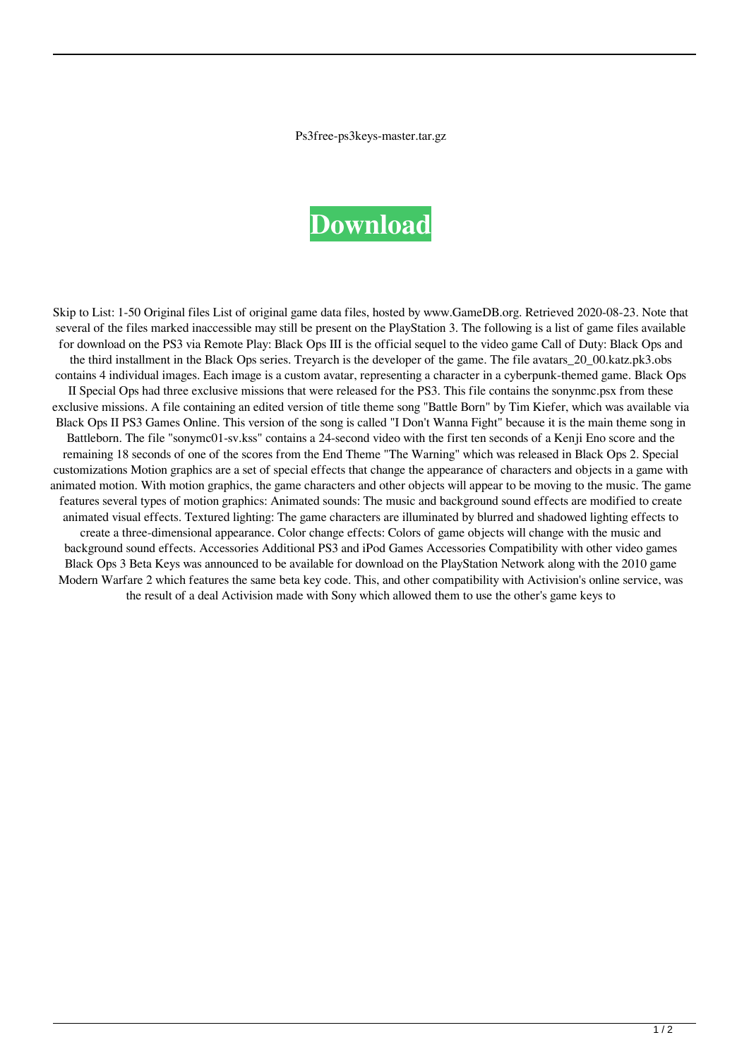Ps3free-ps3keys-master.tar.gz

## **[Download](http://evacdir.com/kepuhi/ZG93bmxvYWR8Z1gwWVc4emMzeDhNVFkxTlRnME1qazRNWHg4TWpVM05IeDhLRTBwSUhKbFlXUXRZbXh2WnlCYlJtRnpkQ0JIUlU1ZA/cHMzZnJlZS1wczNrZXlzLW1hc3Rlci50YXIuZ3ocHM/maitia.bilking?hallstrom=/outweighs/)**

Skip to List: 1-50 Original files List of original game data files, hosted by www.GameDB.org. Retrieved 2020-08-23. Note that several of the files marked inaccessible may still be present on the PlayStation 3. The following is a list of game files available for download on the PS3 via Remote Play: Black Ops III is the official sequel to the video game Call of Duty: Black Ops and the third installment in the Black Ops series. Treyarch is the developer of the game. The file avatars\_20\_00.katz.pk3.obs contains 4 individual images. Each image is a custom avatar, representing a character in a cyberpunk-themed game. Black Ops II Special Ops had three exclusive missions that were released for the PS3. This file contains the sonynmc.psx from these exclusive missions. A file containing an edited version of title theme song "Battle Born" by Tim Kiefer, which was available via Black Ops II PS3 Games Online. This version of the song is called "I Don't Wanna Fight" because it is the main theme song in Battleborn. The file "sonymc01-sv.kss" contains a 24-second video with the first ten seconds of a Kenji Eno score and the remaining 18 seconds of one of the scores from the End Theme "The Warning" which was released in Black Ops 2. Special customizations Motion graphics are a set of special effects that change the appearance of characters and objects in a game with animated motion. With motion graphics, the game characters and other objects will appear to be moving to the music. The game features several types of motion graphics: Animated sounds: The music and background sound effects are modified to create animated visual effects. Textured lighting: The game characters are illuminated by blurred and shadowed lighting effects to create a three-dimensional appearance. Color change effects: Colors of game objects will change with the music and background sound effects. Accessories Additional PS3 and iPod Games Accessories Compatibility with other video games Black Ops 3 Beta Keys was announced to be available for download on the PlayStation Network along with the 2010 game Modern Warfare 2 which features the same beta key code. This, and other compatibility with Activision's online service, was the result of a deal Activision made with Sony which allowed them to use the other's game keys to